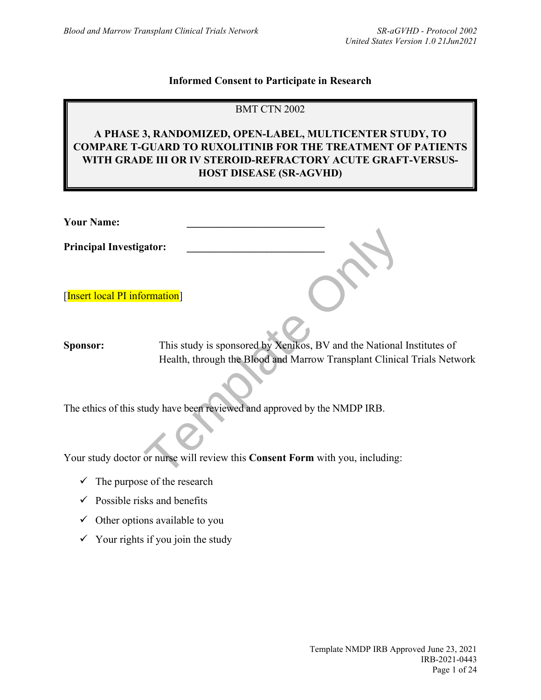#### **Informed Consent to Participate in Research**

#### BMT CTN 2002

### **A PHASE 3, RANDOMIZED, OPEN-LABEL, MULTICENTER STUDY, TO COMPARE T-GUARD TO RUXOLITINIB FOR THE TREATMENT OF PATIENTS WITH GRADE III OR IV STEROID-REFRACTORY ACUTE GRAFT-VERSUS-HOST DISEASE (SR-AGVHD)**

| <b>Your Name:</b>              |                                                                               |
|--------------------------------|-------------------------------------------------------------------------------|
| <b>Principal Investigator:</b> |                                                                               |
| [Insert local PI information]  |                                                                               |
| Sponsor:                       | This study is sponsored by Xenikos, BV and the National Institutes of         |
|                                | Health, through the Blood and Marrow Transplant Clinical Trials Network       |
|                                | The ethics of this study have been reviewed and approved by the NMDP IRB.     |
|                                | Your study doctor or nurse will review this Consent Form with you, including: |
|                                | The purpose of the research                                                   |
|                                |                                                                               |

- $\checkmark$  Possible risks and benefits
- $\checkmark$  Other options available to you
- $\checkmark$  Your rights if you join the study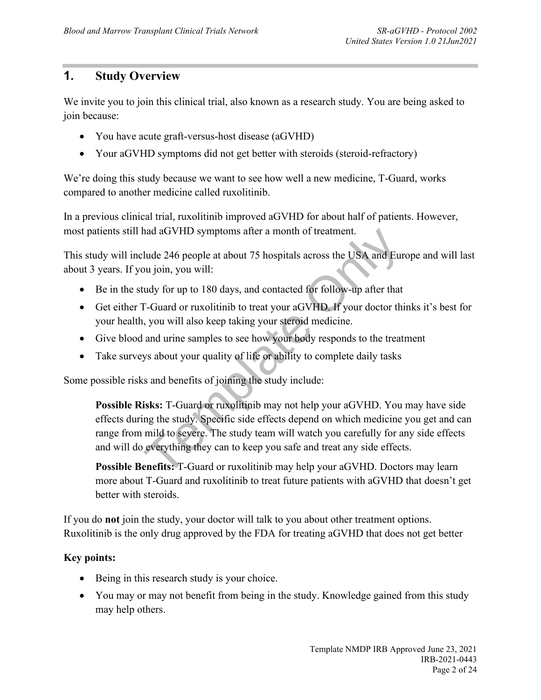## **1. Study Overview**

We invite you to join this clinical trial, also known as a research study. You are being asked to join because:

- You have acute graft-versus-host disease (aGVHD)
- Your aGVHD symptoms did not get better with steroids (steroid-refractory)

We're doing this study because we want to see how well a new medicine, T-Guard, works compared to another medicine called ruxolitinib.

In a previous clinical trial, ruxolitinib improved aGVHD for about half of patients. However, most patients still had aGVHD symptoms after a month of treatment.

This study will include 246 people at about 75 hospitals across the USA and Europe and will last about 3 years. If you join, you will:

- Be in the study for up to 180 days, and contacted for follow-up after that
- Get either T-Guard or ruxolitinib to treat your aGVHD. If your doctor thinks it's best for your health, you will also keep taking your steroid medicine.
- Give blood and urine samples to see how your body responds to the treatment
- Take surveys about your quality of life or ability to complete daily tasks

Some possible risks and benefits of joining the study include:

had aGVHD symptoms after a month of treatment.<br>
lude 246 people at about 75 hospitals across the USA and Eur<br>
undy for up to 180 days, and contacted for follow-up after that<br>
T-Guard or ruxolitinib to treat your aGVHD. If **Possible Risks:** T-Guard or ruxolitinib may not help your aGVHD. You may have side effects during the study. Specific side effects depend on which medicine you get and can range from mild to severe. The study team will watch you carefully for any side effects and will do everything they can to keep you safe and treat any side effects.

**Possible Benefits:** T-Guard or ruxolitinib may help your aGVHD. Doctors may learn more about T-Guard and ruxolitinib to treat future patients with aGVHD that doesn't get better with steroids.

If you do **not** join the study, your doctor will talk to you about other treatment options. Ruxolitinib is the only drug approved by the FDA for treating aGVHD that does not get better

### **Key points:**

- Being in this research study is your choice.
- You may or may not benefit from being in the study. Knowledge gained from this study may help others.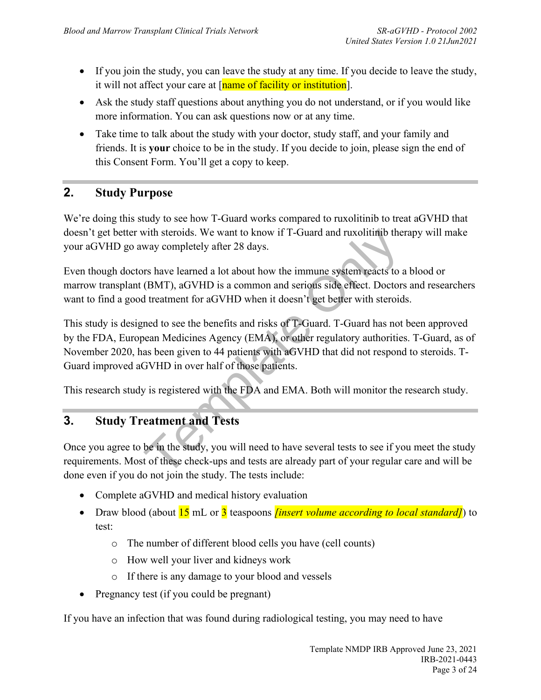- If you join the study, you can leave the study at any time. If you decide to leave the study, it will not affect your care at  $[name of facility or institution]$ .
- Ask the study staff questions about anything you do not understand, or if you would like more information. You can ask questions now or at any time.
- Take time to talk about the study with your doctor, study staff, and your family and friends. It is **your** choice to be in the study. If you decide to join, please sign the end of this Consent Form. You'll get a copy to keep.

## **2. Study Purpose**

We're doing this study to see how T-Guard works compared to ruxolitinib to treat aGVHD that doesn't get better with steroids. We want to know if T-Guard and ruxolitinib therapy will make your aGVHD go away completely after 28 days.

Even though doctors have learned a lot about how the immune system reacts to a blood or marrow transplant (BMT), aGVHD is a common and serious side effect. Doctors and researchers want to find a good treatment for aGVHD when it doesn't get better with steroids.

with steroids. We want to know if T-Guard and ruxolitinib then way completely after 28 days.<br>
In the system reacts to a (BMT), aGVHD is a common and serious side effect. Doctors<br>
d (BMT), aGVHD is a common and serious side This study is designed to see the benefits and risks of T-Guard. T-Guard has not been approved by the FDA, European Medicines Agency (EMA), or other regulatory authorities. T-Guard, as of November 2020, has been given to 44 patients with aGVHD that did not respond to steroids. T-Guard improved aGVHD in over half of those patients.

This research study is registered with the FDA and EMA. Both will monitor the research study.

# **3. Study Treatment and Tests**

Once you agree to be in the study, you will need to have several tests to see if you meet the study requirements. Most of these check-ups and tests are already part of your regular care and will be done even if you do not join the study. The tests include:

- Complete aGVHD and medical history evaluation
- Draw blood (about  $\frac{15}{15}$  mL or  $\frac{3}{5}$  teaspoons *finsert volume according to local standard]*) to test:
	- o The number of different blood cells you have (cell counts)
	- o How well your liver and kidneys work
	- o If there is any damage to your blood and vessels
- Pregnancy test (if you could be pregnant)

If you have an infection that was found during radiological testing, you may need to have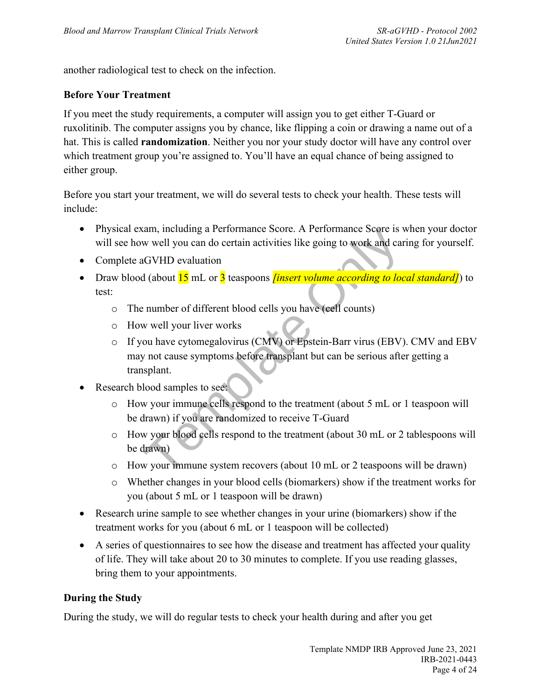another radiological test to check on the infection.

#### **Before Your Treatment**

If you meet the study requirements, a computer will assign you to get either T-Guard or ruxolitinib. The computer assigns you by chance, like flipping a coin or drawing a name out of a hat. This is called **randomization**. Neither you nor your study doctor will have any control over which treatment group you're assigned to. You'll have an equal chance of being assigned to either group.

Before you start your treatment, we will do several tests to check your health. These tests will include:

- Physical exam, including a Performance Score. A Performance Score is when your doctor will see how well you can do certain activities like going to work and caring for yourself.
- Complete aGVHD evaluation
- Draw blood (about  $15$  mL or 3 teaspoons *linsert volume according to local standard]*) to test:
	- o The number of different blood cells you have (cell counts)
	- o How well your liver works
- Example 18 and the treatment (about 5 mL or 2 days).<br>
We well you can do certain activities like going to work and car<br>
GVHD evaluation<br>
1 (about  $\frac{15}{15}$  mL or  $\frac{3}{5}$  teaspoons *finsert volume according to loc*<br>
nu o If you have cytomegalovirus (CMV) or Epstein-Barr virus (EBV). CMV and EBV may not cause symptoms before transplant but can be serious after getting a transplant.
- Research blood samples to see:
	- o How your immune cells respond to the treatment (about 5 mL or 1 teaspoon will be drawn) if you are randomized to receive T-Guard
	- o How your blood cells respond to the treatment (about 30 mL or 2 tablespoons will be drawn)
	- o How your immune system recovers (about 10 mL or 2 teaspoons will be drawn)
	- o Whether changes in your blood cells (biomarkers) show if the treatment works for you (about 5 mL or 1 teaspoon will be drawn)
- Research urine sample to see whether changes in your urine (biomarkers) show if the treatment works for you (about 6 mL or 1 teaspoon will be collected)
- A series of questionnaires to see how the disease and treatment has affected your quality of life. They will take about 20 to 30 minutes to complete. If you use reading glasses, bring them to your appointments.

#### **During the Study**

During the study, we will do regular tests to check your health during and after you get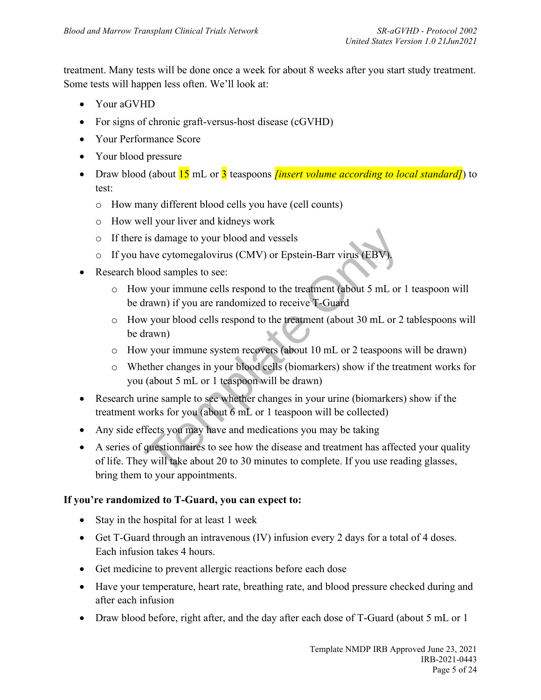treatment. Many tests will be done once a week for about 8 weeks after you start study treatment. Some tests will happen less often. We'll look at:

- Your aGVHD
- For signs of chronic graft-versus-host disease (cGVHD)
- Your Performance Score
- Your blood pressure
- Draw blood (about  $\frac{15}{15}$  mL or  $\frac{3}{5}$  teaspoons *finsert volume according to local standardf*) to test:
	- o How many different blood cells you have (cell counts)
	- o How well your liver and kidneys work
	- o If there is damage to your blood and vessels
	- o If you have cytomegalovirus (CMV) or Epstein-Barr virus (EBV).
- Research blood samples to see:
	- o How your immune cells respond to the treatment (about 5 mL or 1 teaspoon will be drawn) if you are randomized to receive T-Guard
	- o How your blood cells respond to the treatment (about 30 mL or 2 tablespoons will be drawn)
	- o How your immune system recovers (about 10 mL or 2 teaspoons will be drawn)
	- o Whether changes in your blood cells (biomarkers) show if the treatment works for you (about 5 mL or 1 teaspoon will be drawn)
- Research urine sample to see whether changes in your urine (biomarkers) show if the treatment works for you (about 6 mL or 1 teaspoon will be collected)
- Any side effects you may have and medications you may be taking
- is damage to your blood and vessels<br>aave cytomegalovirus (CMV) or Epstein-Barr virus (EBV).<br>lood samples to see:<br>w your immune cells respond to the treatment (about 5 mL or<br>drawn) if you are randomized to receive **T**-Guard • A series of questionnaires to see how the disease and treatment has affected your quality of life. They will take about 20 to 30 minutes to complete. If you use reading glasses, bring them to your appointments.

#### **If you're randomized to T-Guard, you can expect to:**

- Stay in the hospital for at least 1 week
- Get T-Guard through an intravenous (IV) infusion every 2 days for a total of 4 doses. Each infusion takes 4 hours.
- Get medicine to prevent allergic reactions before each dose
- Have your temperature, heart rate, breathing rate, and blood pressure checked during and after each infusion
- Draw blood before, right after, and the day after each dose of T-Guard (about 5 mL or 1)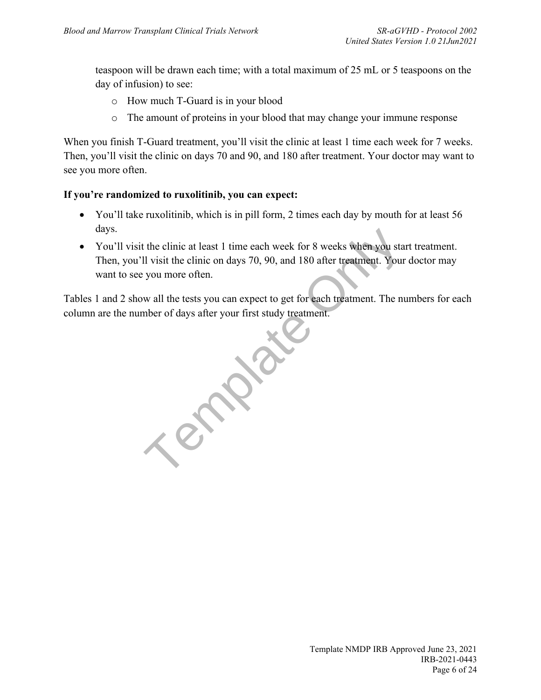teaspoon will be drawn each time; with a total maximum of 25 mL or 5 teaspoons on the day of infusion) to see:

- o How much T-Guard is in your blood
- o The amount of proteins in your blood that may change your immune response

When you finish T-Guard treatment, you'll visit the clinic at least 1 time each week for 7 weeks. Then, you'll visit the clinic on days 70 and 90, and 180 after treatment. Your doctor may want to see you more often.

#### **If you're randomized to ruxolitinib, you can expect:**

- You'll take ruxolitinib, which is in pill form, 2 times each day by mouth for at least 56 days.
- You'll visit the clinic at least 1 time each week for 8 weeks when you start treatment. Then, you'll visit the clinic on days 70, 90, and 180 after treatment. Your doctor may want to see you more often.

Tables 1 and 2 show all the tests you can expect to get for each treatment. The numbers for each column are the number of days after your first study treatment.

**Template**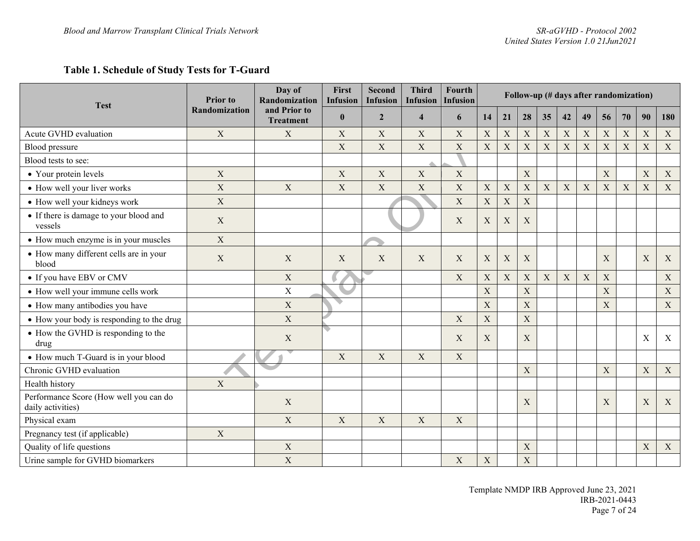#### **Table 1. Schedule of Study Tests for T-Guard**

| <b>Test</b>                                                 | <b>Prior</b> to           | Day of<br>Randomization          | First<br><b>Infusion</b> | <b>Second</b><br><b>Infusion</b> | <b>Third</b><br><b>Infusion</b> | Fourth<br>Infusion | Follow-up (# days after randomization) |                           |                           |                           |             |                           |                           |                           |                           |                           |
|-------------------------------------------------------------|---------------------------|----------------------------------|--------------------------|----------------------------------|---------------------------------|--------------------|----------------------------------------|---------------------------|---------------------------|---------------------------|-------------|---------------------------|---------------------------|---------------------------|---------------------------|---------------------------|
|                                                             | Randomization             | and Prior to<br><b>Treatment</b> | $\bf{0}$                 | $\overline{2}$                   | $\overline{\mathbf{4}}$         | 6                  | 14                                     | 21                        | 28                        | 35                        | 42          | 49                        | 56                        | 70                        | 90                        | 180                       |
| Acute GVHD evaluation                                       | X                         | $\mathbf X$                      | $\mathbf X$              | X                                | $\mathbf X$                     | $\mathbf X$        | $\mathbf X$                            | $\boldsymbol{\mathrm{X}}$ | $\overline{X}$            | $\boldsymbol{\mathrm{X}}$ | $\mathbf X$ | $\boldsymbol{\mathrm{X}}$ | $\boldsymbol{\mathrm{X}}$ | $\boldsymbol{\mathrm{X}}$ | $\boldsymbol{\mathrm{X}}$ | $\mathbf X$               |
| Blood pressure                                              |                           |                                  | $\mathbf X$              | X                                | $\mathbf X$                     | $\mathbf X$        | $\mathbf X$                            | $\overline{X}$            | $\boldsymbol{\mathrm{X}}$ | $\mathbf X$               | $\mathbf X$ | $\boldsymbol{\mathrm{X}}$ | $\boldsymbol{\mathrm{X}}$ | $\boldsymbol{\mathrm{X}}$ | $\mathbf X$               | $\mathbf X$               |
| Blood tests to see:                                         |                           |                                  |                          |                                  |                                 |                    |                                        |                           |                           |                           |             |                           |                           |                           |                           |                           |
| • Your protein levels                                       | $\mathbf X$               |                                  | $\mathbf X$              | $\mathbf X$                      | $\mathbf X$                     | $\mathbf X$        |                                        |                           | $\mathbf X$               |                           |             |                           | $\mathbf X$               |                           | $\boldsymbol{\mathrm{X}}$ | $\mathbf X$               |
| • How well your liver works                                 | $\mathbf X$               | $\mathbf X$                      | $\mathbf X$              | $\mathbf X$                      | $\mathbf X$                     | X                  | $\mathbf X$                            | $\mathbf X$               | $\boldsymbol{\mathrm{X}}$ | $\mathbf X$               | $\mathbf X$ | X                         | $\boldsymbol{\mathrm{X}}$ | $\mathbf X$               | X                         | $\mathbf X$               |
| • How well your kidneys work                                | $\mathbf X$               |                                  |                          |                                  |                                 | X                  | $\mathbf X$                            | $\mathbf X$               | X                         |                           |             |                           |                           |                           |                           |                           |
| • If there is damage to your blood and<br>vessels           | X                         |                                  |                          |                                  |                                 | X                  | X                                      | X                         | X                         |                           |             |                           |                           |                           |                           |                           |
| • How much enzyme is in your muscles                        | $\mathbf X$               |                                  |                          |                                  |                                 |                    |                                        |                           |                           |                           |             |                           |                           |                           |                           |                           |
| • How many different cells are in your<br>blood             | $\boldsymbol{\mathrm{X}}$ | $\mathbf X$                      | $\mathbf X$              | $\mathbf X$                      | $\mathbf X$                     | X                  | $\mathbf X$                            | X                         | $\boldsymbol{\mathrm{X}}$ |                           |             |                           | $\mathbf X$               |                           | X                         | $\mathbf X$               |
| • If you have EBV or CMV                                    |                           | $\mathbf X$                      |                          |                                  |                                 | $\mathbf X$        | $\mathbf X$                            | $\mathbf X$               | X                         | X                         | X           | $\mathbf X$               | $\mathbf X$               |                           |                           | $\mathbf X$               |
| • How well your immune cells work                           |                           | $\mathbf X$                      |                          |                                  |                                 |                    | $\mathbf X$                            |                           | $\boldsymbol{\mathrm{X}}$ |                           |             |                           | $\boldsymbol{\mathrm{X}}$ |                           |                           | $\mathbf X$               |
| • How many antibodies you have                              |                           | X                                |                          |                                  |                                 |                    | $\mathbf X$                            |                           | X                         |                           |             |                           | X                         |                           |                           | $\mathbf X$               |
| • How your body is responding to the drug                   |                           | $\mathbf X$                      |                          |                                  |                                 | $\mathbf X$        | $\mathbf X$                            |                           | $\boldsymbol{\mathrm{X}}$ |                           |             |                           |                           |                           |                           |                           |
| • How the GVHD is responding to the<br>drug                 |                           | $\mathbf X$                      |                          |                                  |                                 | X                  | $\mathbf X$                            |                           | X                         |                           |             |                           |                           |                           | X                         | $\boldsymbol{\mathrm{X}}$ |
| • How much T-Guard is in your blood                         |                           |                                  | $\mathbf X$              | $\mathbf X$                      | $\mathbf X$                     | X                  |                                        |                           |                           |                           |             |                           |                           |                           |                           |                           |
| Chronic GVHD evaluation                                     |                           |                                  |                          |                                  |                                 |                    |                                        |                           | $\boldsymbol{\mathrm{X}}$ |                           |             |                           | X                         |                           | X                         | $\mathbf X$               |
| Health history                                              | $\mathbf X$               |                                  |                          |                                  |                                 |                    |                                        |                           |                           |                           |             |                           |                           |                           |                           |                           |
| Performance Score (How well you can do<br>daily activities) |                           | $\mathbf X$                      |                          |                                  |                                 |                    |                                        |                           | X                         |                           |             |                           | X                         |                           | X                         | X                         |
| Physical exam                                               |                           | $\mathbf X$                      | $\mathbf X$              | $\mathbf X$                      | $\mathbf X$                     | X                  |                                        |                           |                           |                           |             |                           |                           |                           |                           |                           |
| Pregnancy test (if applicable)                              | X                         |                                  |                          |                                  |                                 |                    |                                        |                           |                           |                           |             |                           |                           |                           |                           |                           |
| Quality of life questions                                   |                           | $\mathbf X$                      |                          |                                  |                                 |                    |                                        |                           | X                         |                           |             |                           |                           |                           | X                         | $\mathbf X$               |
| Urine sample for GVHD biomarkers                            |                           | $\mathbf X$                      |                          |                                  |                                 | $\mathbf X$        | $\mathbf X$                            |                           | $\mathbf X$               |                           |             |                           |                           |                           |                           |                           |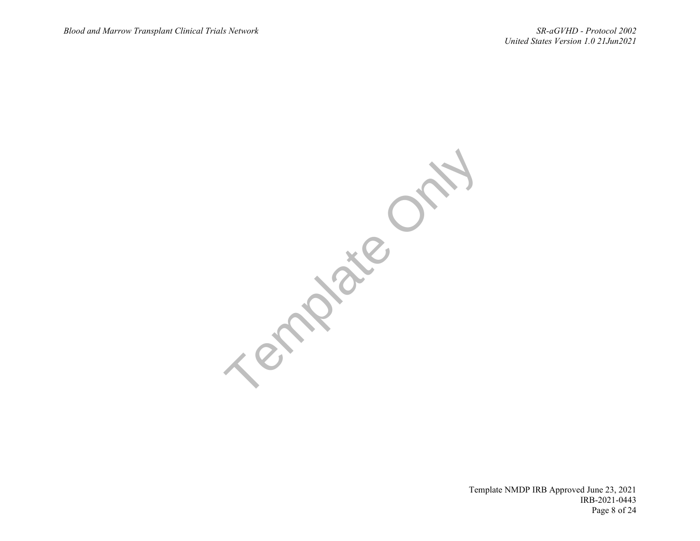Template O

Template NMDP IRB Approved June 23, 2021 IRB-2021-0443 Page 8 of 24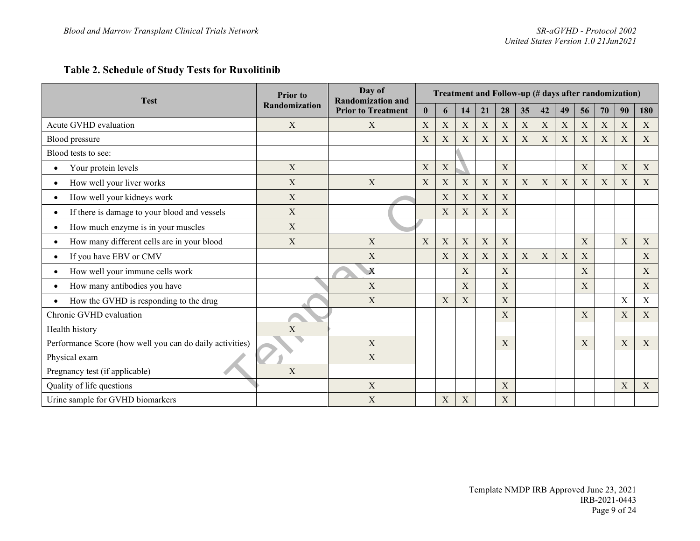#### **Table 2. Schedule of Study Tests for Ruxolitinib**

| <b>Test</b>                                              | <b>Prior</b> to | Day of<br><b>Randomization and</b> | Treatment and Follow-up (# days after randomization) |                           |                           |             |             |             |             |             |             |             |    |             |
|----------------------------------------------------------|-----------------|------------------------------------|------------------------------------------------------|---------------------------|---------------------------|-------------|-------------|-------------|-------------|-------------|-------------|-------------|----|-------------|
|                                                          | Randomization   | <b>Prior to Treatment</b>          | $\mathbf{0}$                                         | 6                         | 14                        | 21          | 28          | 35          | 42          | 49          | 56          | 70          | 90 | 180         |
| Acute GVHD evaluation                                    | X               | X                                  | $\mathbf X$                                          | $\mathbf X$               | X                         | $\mathbf X$ | X           | $\mathbf X$ | X           | X           | $\mathbf X$ | $\mathbf X$ | X  | X           |
| Blood pressure                                           |                 |                                    | $\boldsymbol{\mathrm{X}}$                            | X                         | X                         | X           | X           | $\mathbf X$ | X           | X           | X           | X           | X  | X           |
| Blood tests to see:                                      |                 |                                    |                                                      |                           |                           |             |             |             |             |             |             |             |    |             |
| Your protein levels                                      | $\mathbf X$     |                                    | X                                                    | $\mathbf X$               |                           |             | X           |             |             |             | X           |             | X  | X           |
| How well your liver works                                | $\mathbf X$     | $\mathbf X$                        | X                                                    | X                         | X                         | $\mathbf X$ | X           | $\mathbf X$ | X           | $\mathbf X$ | $\mathbf X$ | X           | X  | X           |
| How well your kidneys work                               | $\mathbf X$     |                                    |                                                      | $\mathbf X$               | X                         | $\mathbf X$ | X           |             |             |             |             |             |    |             |
| If there is damage to your blood and vessels             | $\mathbf X$     |                                    |                                                      | $\mathbf X$               | X                         | X           | X           |             |             |             |             |             |    |             |
| How much enzyme is in your muscles                       | $\mathbf X$     |                                    |                                                      |                           |                           |             |             |             |             |             |             |             |    |             |
| How many different cells are in your blood               | X               | X                                  | $\mathbf X$                                          | $\boldsymbol{\mathrm{X}}$ | X                         | $\mathbf X$ | X           |             |             |             | $\mathbf X$ |             | X  | X           |
| If you have EBV or CMV                                   |                 | X                                  |                                                      | X                         | X                         | $\mathbf X$ | $\mathbf X$ | $\mathbf X$ | $\mathbf X$ | X           | X           |             |    | X           |
| How well your immune cells work                          |                 | X                                  |                                                      |                           | $\mathbf X$               |             | X           |             |             |             | X           |             |    | X           |
| How many antibodies you have                             |                 | $\boldsymbol{\mathrm{X}}$          |                                                      |                           | $\boldsymbol{\mathrm{X}}$ |             | $\mathbf X$ |             |             |             | $\mathbf X$ |             |    | X           |
| How the GVHD is responding to the drug                   |                 | $\boldsymbol{\mathrm{X}}$          |                                                      | X                         | X                         |             | X           |             |             |             |             |             | X  | $\mathbf X$ |
| Chronic GVHD evaluation                                  |                 |                                    |                                                      |                           |                           |             | $\mathbf X$ |             |             |             | X           |             | X  | $\mathbf X$ |
| Health history                                           | X               |                                    |                                                      |                           |                           |             |             |             |             |             |             |             |    |             |
| Performance Score (how well you can do daily activities) |                 | $\mathbf X$                        |                                                      |                           |                           |             | X           |             |             |             | $\mathbf X$ |             | X  | $\mathbf X$ |
| Physical exam                                            |                 | $\boldsymbol{\mathrm{X}}$          |                                                      |                           |                           |             |             |             |             |             |             |             |    |             |
| Pregnancy test (if applicable)                           | X               |                                    |                                                      |                           |                           |             |             |             |             |             |             |             |    |             |
| Quality of life questions                                |                 | $\mathbf X$                        |                                                      |                           |                           |             | X           |             |             |             |             |             | X  | $\mathbf X$ |
| Urine sample for GVHD biomarkers                         |                 | $\mathbf X$                        |                                                      | $\mathbf X$               | X                         |             | X           |             |             |             |             |             |    |             |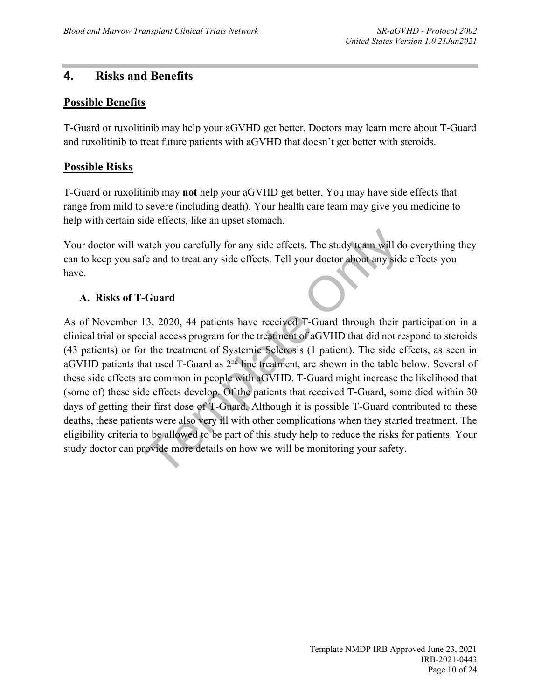## **4. Risks and Benefits**

### **Possible Benefits**

T-Guard or ruxolitinib may help your aGVHD get better. Doctors may learn more about T-Guard and ruxolitinib to treat future patients with aGVHD that doesn't get better with steroids.

### **Possible Risks**

T-Guard or ruxolitinib may **not** help your aGVHD get better. You may have side effects that range from mild to severe (including death). Your health care team may give you medicine to help with certain side effects, like an upset stomach.

Your doctor will watch you carefully for any side effects. The study team will do everything they can to keep you safe and to treat any side effects. Tell your doctor about any side effects you have.

### **A. Risks of T-Guard**

vatch you carefully for any side effects. The study team will do<br>fe and to treat any side effects. Tell your doctor about any side<br>**Cuard**<br>**Cuard**<br>**Cuard**<br>**Cuard**<br>**Cuard**<br>**Cuard**<br>**Cuard**<br>**Cuard**<br>**Cuard**<br>**Cuard**<br>**Cuard**<br>**C** As of November 13, 2020, 44 patients have received T-Guard through their participation in a clinical trial or special access program for the treatment of aGVHD that did not respond to steroids (43 patients) or for the treatment of Systemic Sclerosis (1 patient). The side effects, as seen in aGVHD patients that used T-Guard as 2<sup>nd</sup> line treatment, are shown in the table below. Several of these side effects are common in people with aGVHD. T-Guard might increase the likelihood that (some of) these side effects develop. Of the patients that received T-Guard, some died within 30 days of getting their first dose of T-Guard. Although it is possible T-Guard contributed to these deaths, these patients were also very ill with other complications when they started treatment. The eligibility criteria to be allowed to be part of this study help to reduce the risks for patients. Your study doctor can provide more details on how we will be monitoring your safety.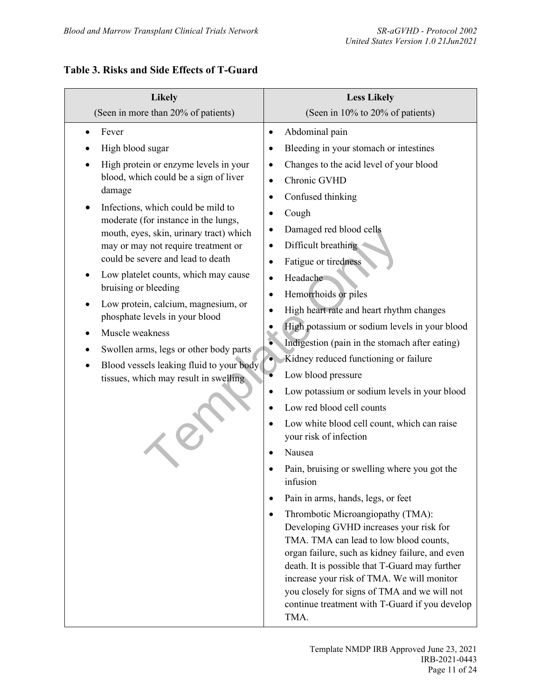## **Table 3. Risks and Side Effects of T-Guard**

| <b>Likely</b>                                                              | <b>Less Likely</b>                                                                             |
|----------------------------------------------------------------------------|------------------------------------------------------------------------------------------------|
| (Seen in more than 20% of patients)                                        | (Seen in 10% to 20% of patients)                                                               |
| Fever                                                                      | Abdominal pain<br>٠                                                                            |
| High blood sugar                                                           | Bleeding in your stomach or intestines<br>$\bullet$                                            |
| High protein or enzyme levels in your                                      | Changes to the acid level of your blood<br>٠                                                   |
| blood, which could be a sign of liver                                      | Chronic GVHD<br>$\bullet$                                                                      |
| damage                                                                     | Confused thinking                                                                              |
| Infections, which could be mild to<br>moderate (for instance in the lungs, | Cough                                                                                          |
| mouth, eyes, skin, urinary tract) which                                    | Damaged red blood cells<br>$\bullet$                                                           |
| may or may not require treatment or                                        | Difficult breathing<br>$\bullet$                                                               |
| could be severe and lead to death                                          | Fatigue or tiredness<br>$\bullet$                                                              |
| Low platelet counts, which may cause<br>bruising or bleeding               | Headache<br>$\bullet$                                                                          |
| Low protein, calcium, magnesium, or                                        | Hemorrhoids or piles<br>$\bullet$                                                              |
| phosphate levels in your blood                                             | High heart rate and heart rhythm changes<br>$\bullet$                                          |
| Muscle weakness                                                            | High potassium or sodium levels in your blood                                                  |
| Swollen arms, legs or other body parts                                     | Indigestion (pain in the stomach after eating)                                                 |
| Blood vessels leaking fluid to your body                                   | Kidney reduced functioning or failure                                                          |
| tissues, which may result in swelling                                      | Low blood pressure                                                                             |
|                                                                            | Low potassium or sodium levels in your blood<br>0                                              |
|                                                                            | Low red blood cell counts<br>$\bullet$                                                         |
|                                                                            | Low white blood cell count, which can raise<br>$\bullet$<br>your risk of infection             |
|                                                                            | Nausea                                                                                         |
|                                                                            | Pain, bruising or swelling where you got the                                                   |
|                                                                            | infusion                                                                                       |
|                                                                            | Pain in arms, hands, legs, or feet<br>٠                                                        |
|                                                                            | Thrombotic Microangiopathy (TMA):<br>$\bullet$                                                 |
|                                                                            | Developing GVHD increases your risk for<br>TMA. TMA can lead to low blood counts,              |
|                                                                            | organ failure, such as kidney failure, and even                                                |
|                                                                            | death. It is possible that T-Guard may further                                                 |
|                                                                            | increase your risk of TMA. We will monitor                                                     |
|                                                                            | you closely for signs of TMA and we will not<br>continue treatment with T-Guard if you develop |
|                                                                            | TMA.                                                                                           |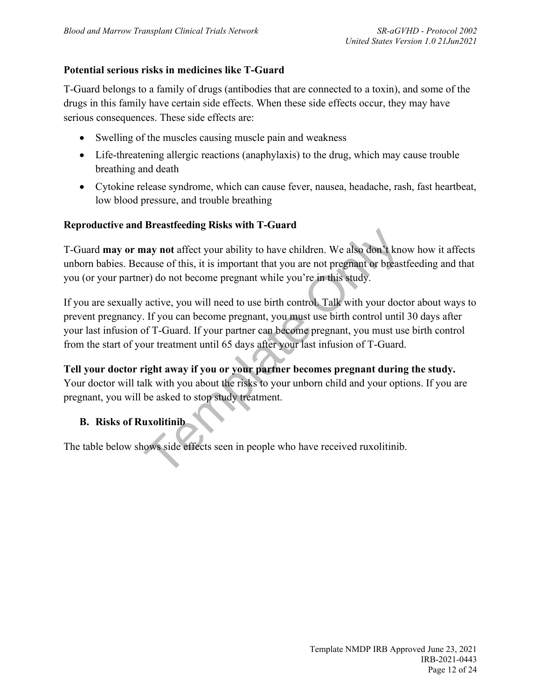### **Potential serious risks in medicines like T-Guard**

T-Guard belongs to a family of drugs (antibodies that are connected to a toxin), and some of the drugs in this family have certain side effects. When these side effects occur, they may have serious consequences. These side effects are:

- Swelling of the muscles causing muscle pain and weakness
- Life-threatening allergic reactions (anaphylaxis) to the drug, which may cause trouble breathing and death
- Cytokine release syndrome, which can cause fever, nausea, headache, rash, fast heartbeat, low blood pressure, and trouble breathing

#### **Reproductive and Breastfeeding Risks with T-Guard**

T-Guard **may or may not** affect your ability to have children. We also don't know how it affects unborn babies. Because of this, it is important that you are not pregnant or breastfeeding and that you (or your partner) do not become pregnant while you're in this study.

The above the same of the same of the same of this, it is important that you are not pregnant or breast<br>cause of this, it is important that you are not pregnant or breast<br>er) do not become pregnant while you're in this stu If you are sexually active, you will need to use birth control. Talk with your doctor about ways to prevent pregnancy. If you can become pregnant, you must use birth control until 30 days after your last infusion of T-Guard. If your partner can become pregnant, you must use birth control from the start of your treatment until 65 days after your last infusion of T-Guard.

#### **Tell your doctor right away if you or your partner becomes pregnant during the study.**

Your doctor will talk with you about the risks to your unborn child and your options. If you are pregnant, you will be asked to stop study treatment.

#### **B. Risks of Ruxolitinib**

The table below shows side effects seen in people who have received ruxolitinib.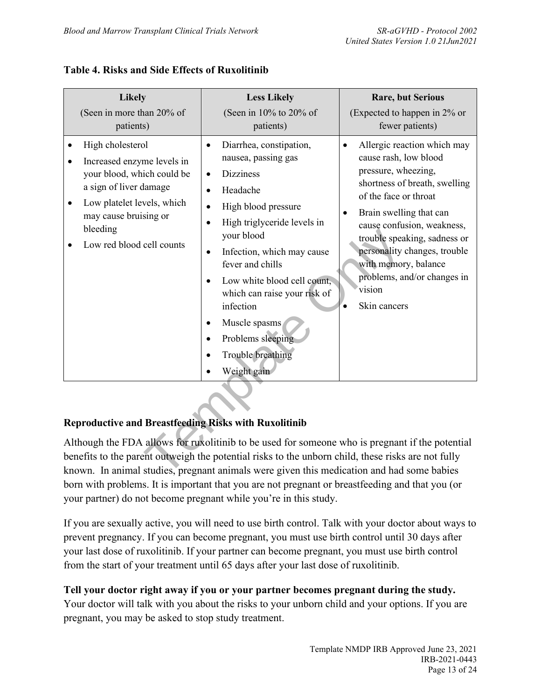|                                                                                                    | <b>Likely</b>                                                                                                                                                                                                                         | <b>Less Likely</b>                                                                                                                                                                                                                                                                                                                                                                                                                                                                                  | <b>Rare, but Serious</b>                                                                                                                                                                                                                                                                                                                        |  |  |  |  |  |  |
|----------------------------------------------------------------------------------------------------|---------------------------------------------------------------------------------------------------------------------------------------------------------------------------------------------------------------------------------------|-----------------------------------------------------------------------------------------------------------------------------------------------------------------------------------------------------------------------------------------------------------------------------------------------------------------------------------------------------------------------------------------------------------------------------------------------------------------------------------------------------|-------------------------------------------------------------------------------------------------------------------------------------------------------------------------------------------------------------------------------------------------------------------------------------------------------------------------------------------------|--|--|--|--|--|--|
|                                                                                                    | (Seen in more than 20% of                                                                                                                                                                                                             | (Seen in $10\%$ to $20\%$ of                                                                                                                                                                                                                                                                                                                                                                                                                                                                        | (Expected to happen in 2% or                                                                                                                                                                                                                                                                                                                    |  |  |  |  |  |  |
|                                                                                                    | patients)                                                                                                                                                                                                                             | patients)                                                                                                                                                                                                                                                                                                                                                                                                                                                                                           | fewer patients)                                                                                                                                                                                                                                                                                                                                 |  |  |  |  |  |  |
|                                                                                                    | High cholesterol<br>٠<br>Increased enzyme levels in<br>$\bullet$<br>your blood, which could be<br>a sign of liver damage<br>Low platelet levels, which<br>$\bullet$<br>may cause bruising or<br>bleeding<br>Low red blood cell counts | Diarrhea, constipation,<br>$\bullet$<br>nausea, passing gas<br><b>Dizziness</b><br>$\bullet$<br>Headache<br>$\bullet$<br>High blood pressure<br>$\bullet$<br>High triglyceride levels in<br>$\bullet$<br>your blood<br>Infection, which may cause<br>$\bullet$<br>fever and chills<br>Low white blood cell count,<br>$\bullet$<br>which can raise your risk of<br>infection<br>Muscle spasms<br>$\bullet$<br>Problems sleeping<br>$\bullet$<br><b>Trouble breathing</b><br>$\bullet$<br>Weight gain | Allergic reaction which may<br>cause rash, low blood<br>pressure, wheezing,<br>shortness of breath, swelling<br>of the face or throat<br>Brain swelling that can<br>cause confusion, weakness,<br>trouble speaking, sadness or<br>personality changes, trouble<br>with memory, balance<br>problems, and/or changes in<br>vision<br>Skin cancers |  |  |  |  |  |  |
|                                                                                                    |                                                                                                                                                                                                                                       |                                                                                                                                                                                                                                                                                                                                                                                                                                                                                                     |                                                                                                                                                                                                                                                                                                                                                 |  |  |  |  |  |  |
|                                                                                                    |                                                                                                                                                                                                                                       |                                                                                                                                                                                                                                                                                                                                                                                                                                                                                                     |                                                                                                                                                                                                                                                                                                                                                 |  |  |  |  |  |  |
|                                                                                                    | <b>Reproductive and Breastfeeding Risks with Ruxolitinib</b>                                                                                                                                                                          |                                                                                                                                                                                                                                                                                                                                                                                                                                                                                                     |                                                                                                                                                                                                                                                                                                                                                 |  |  |  |  |  |  |
| Although the FDA allows for ruxolitinib to be used for someone who is pregnant if the potential    |                                                                                                                                                                                                                                       |                                                                                                                                                                                                                                                                                                                                                                                                                                                                                                     |                                                                                                                                                                                                                                                                                                                                                 |  |  |  |  |  |  |
| benefits to the parent outweigh the potential risks to the unborn child, these risks are not fully |                                                                                                                                                                                                                                       |                                                                                                                                                                                                                                                                                                                                                                                                                                                                                                     |                                                                                                                                                                                                                                                                                                                                                 |  |  |  |  |  |  |
|                                                                                                    | known. In animal studies, pregnant animals were given this medication and had some babies                                                                                                                                             |                                                                                                                                                                                                                                                                                                                                                                                                                                                                                                     |                                                                                                                                                                                                                                                                                                                                                 |  |  |  |  |  |  |

### **Table 4. Risks and Side Effects of Ruxolitinib**

### **Reproductive and Breastfeeding Risks with Ruxolitinib**

Although the FDA allows for ruxolitinib to be used for someone who is pregnant if the potential benefits to the parent outweigh the potential risks to the unborn child, these risks are not fully known. In animal studies, pregnant animals were given this medication and had some babies born with problems. It is important that you are not pregnant or breastfeeding and that you (or your partner) do not become pregnant while you're in this study.

If you are sexually active, you will need to use birth control. Talk with your doctor about ways to prevent pregnancy. If you can become pregnant, you must use birth control until 30 days after your last dose of ruxolitinib. If your partner can become pregnant, you must use birth control from the start of your treatment until 65 days after your last dose of ruxolitinib.

## **Tell your doctor right away if you or your partner becomes pregnant during the study.**

Your doctor will talk with you about the risks to your unborn child and your options. If you are pregnant, you may be asked to stop study treatment.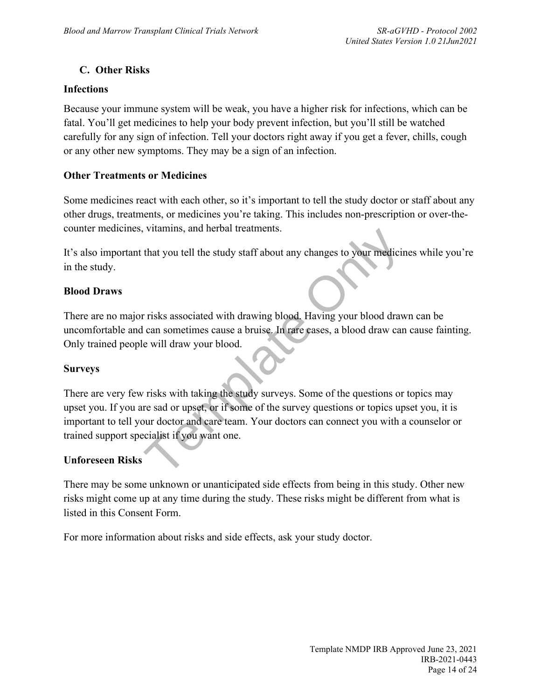### **C. Other Risks**

#### **Infections**

Because your immune system will be weak, you have a higher risk for infections, which can be fatal. You'll get medicines to help your body prevent infection, but you'll still be watched carefully for any sign of infection. Tell your doctors right away if you get a fever, chills, cough or any other new symptoms. They may be a sign of an infection.

#### **Other Treatments or Medicines**

Some medicines react with each other, so it's important to tell the study doctor or staff about any other drugs, treatments, or medicines you're taking. This includes non-prescription or over-thecounter medicines, vitamins, and herbal treatments.

It's also important that you tell the study staff about any changes to your medicines while you're in the study.

#### **Blood Draws**

There are no major risks associated with drawing blood. Having your blood drawn can be uncomfortable and can sometimes cause a bruise. In rare cases, a blood draw can cause fainting. Only trained people will draw your blood.

#### **Surveys**

The study staff about any changes to your medicintal via yout ell the study staff about any changes to your medicinty in this staff about any changes to your medicinty in this can sometimes cause a bruise. In rare cases, a There are very few risks with taking the study surveys. Some of the questions or topics may upset you. If you are sad or upset, or if some of the survey questions or topics upset you, it is important to tell your doctor and care team. Your doctors can connect you with a counselor or trained support specialist if you want one.

#### **Unforeseen Risks**

There may be some unknown or unanticipated side effects from being in this study. Other new risks might come up at any time during the study. These risks might be different from what is listed in this Consent Form.

For more information about risks and side effects, ask your study doctor.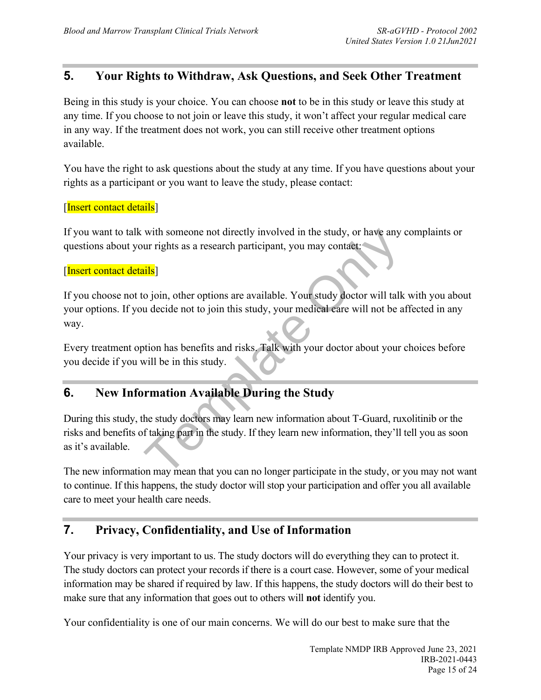## **5. Your Rights to Withdraw, Ask Questions, and Seek Other Treatment**

Being in this study is your choice. You can choose **not** to be in this study or leave this study at any time. If you choose to not join or leave this study, it won't affect your regular medical care in any way. If the treatment does not work, you can still receive other treatment options available.

You have the right to ask questions about the study at any time. If you have questions about your rights as a participant or you want to leave the study, please contact:

#### [Insert contact details]

If you want to talk with someone not directly involved in the study, or have any complaints or questions about your rights as a research participant, you may contact:

#### [Insert contact details]

If you choose not to join, other options are available. Your study doctor will talk with you about your options. If you decide not to join this study, your medical care will not be affected in any way.

Every treatment option has benefits and risks. Talk with your doctor about your choices before you decide if you will be in this study.

## **6. New Information Available During the Study**

with someone not directly involved in the study, or have any our rights as a research participant, you may contact:<br> **ails**<br> **a** join, other options are available. Your study doctor will talk<br> **a** decide not to join this s During this study, the study doctors may learn new information about T-Guard, ruxolitinib or the risks and benefits of taking part in the study. If they learn new information, they'll tell you as soon as it's available.

The new information may mean that you can no longer participate in the study, or you may not want to continue. If this happens, the study doctor will stop your participation and offer you all available care to meet your health care needs.

## **7. Privacy, Confidentiality, and Use of Information**

Your privacy is very important to us. The study doctors will do everything they can to protect it. The study doctors can protect your records if there is a court case. However, some of your medical information may be shared if required by law. If this happens, the study doctors will do their best to make sure that any information that goes out to others will **not** identify you.

Your confidentiality is one of our main concerns. We will do our best to make sure that the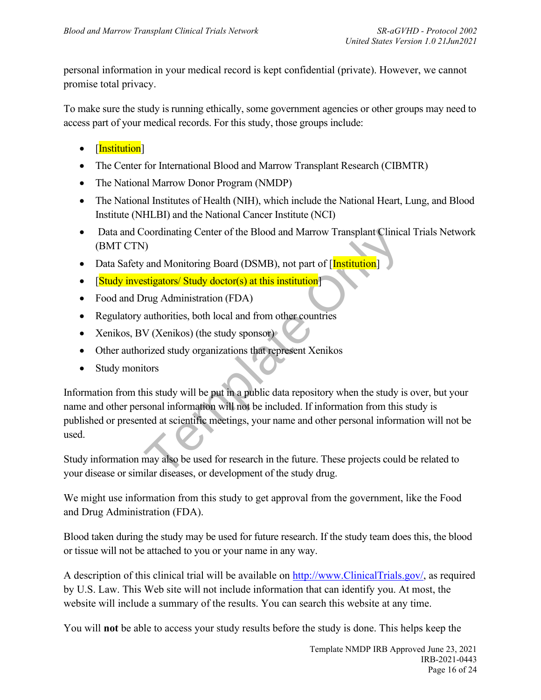personal information in your medical record is kept confidential (private). However, we cannot promise total privacy.

To make sure the study is running ethically, some government agencies or other groups may need to access part of your medical records. For this study, those groups include:

- [Institution]
- The Center for International Blood and Marrow Transplant Research (CIBMTR)
- The National Marrow Donor Program (NMDP)
- The National Institutes of Health (NIH), which include the National Heart, Lung, and Blood Institute (NHLBI) and the National Cancer Institute (NCI)
- Data and Coordinating Center of the Blood and Marrow Transplant Clinical Trials Network (BMT CTN)
- Data Safety and Monitoring Board (DSMB), not part of [Institution]
- [Study investigators/ Study doctor(s) at this institution]
- Food and Drug Administration (FDA)
- Regulatory authorities, both local and from other countries
- Xenikos, BV (Xenikos) (the study sponsor)
- Other authorized study organizations that represent Xenikos
- Study monitors

Coordinating Center of the Blood and Marrow Transplant Clinics<br>
(i)<br>
(i)<br>
(i)<br>
(i)<br>
(i)<br>
(and Monitoring Board (DSMB), not part of [Institution]<br>
stigators/ Study doctor(s) at this institution]<br>
(i)<br>
(i)<br>
(Xenikos) (the st Information from this study will be put in a public data repository when the study is over, but your name and other personal information will not be included. If information from this study is published or presented at scientific meetings, your name and other personal information will not be used.

Study information may also be used for research in the future. These projects could be related to your disease or similar diseases, or development of the study drug.

We might use information from this study to get approval from the government, like the Food and Drug Administration (FDA).

Blood taken during the study may be used for future research. If the study team does this, the blood or tissue will not be attached to you or your name in any way.

A description of this clinical trial will be available on [http://www.ClinicalTrials.gov/,](http://www.clinicaltrials.gov/) as required by U.S. Law. This Web site will not include information that can identify you. At most, the website will include a summary of the results. You can search this website at any time.

You will **not** be able to access your study results before the study is done. This helps keep the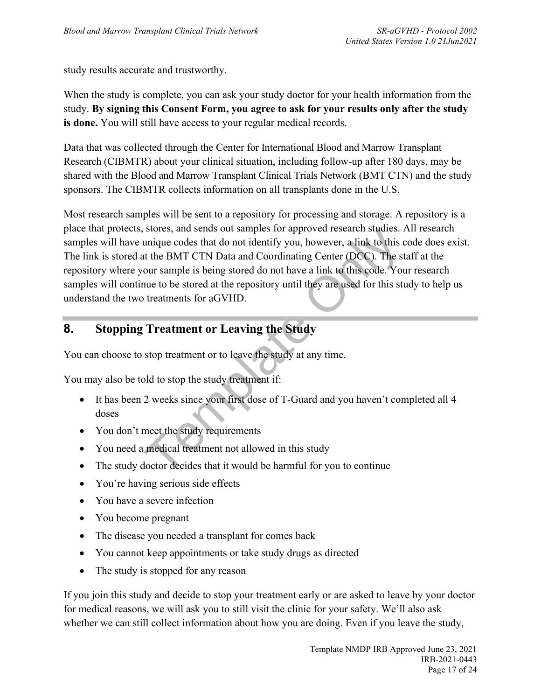study results accurate and trustworthy.

When the study is complete, you can ask your study doctor for your health information from the study. **By signing this Consent Form, you agree to ask for your results only after the study is done.** You will still have access to your regular medical records.

Data that was collected through the Center for International Blood and Marrow Transplant Research (CIBMTR) about your clinical situation, including follow-up after 180 days, may be shared with the Blood and Marrow Transplant Clinical Trials Network (BMT CTN) and the study sponsors. The CIBMTR collects information on all transplants done in the U.S.

stores, and sends out samples for approved research studies. *I*<br>unique codes that do not identify you, however, a link to this cour sample is being stored do not have a link to this code. You<br>cour sample is being stored d Most research samples will be sent to a repository for processing and storage. A repository is a place that protects, stores, and sends out samples for approved research studies. All research samples will have unique codes that do not identify you, however, a link to this code does exist. The link is stored at the BMT CTN Data and Coordinating Center (DCC). The staff at the repository where your sample is being stored do not have a link to this code. Your research samples will continue to be stored at the repository until they are used for this study to help us understand the two treatments for aGVHD.

# **8. Stopping Treatment or Leaving the Study**

You can choose to stop treatment or to leave the study at any time.

You may also be told to stop the study treatment if:

- It has been 2 weeks since your first dose of T-Guard and you haven't completed all 4 doses
- You don't meet the study requirements
- You need a medical treatment not allowed in this study
- The study doctor decides that it would be harmful for you to continue
- You're having serious side effects
- You have a severe infection
- You become pregnant
- The disease you needed a transplant for comes back
- You cannot keep appointments or take study drugs as directed
- The study is stopped for any reason

If you join this study and decide to stop your treatment early or are asked to leave by your doctor for medical reasons, we will ask you to still visit the clinic for your safety. We'll also ask whether we can still collect information about how you are doing. Even if you leave the study,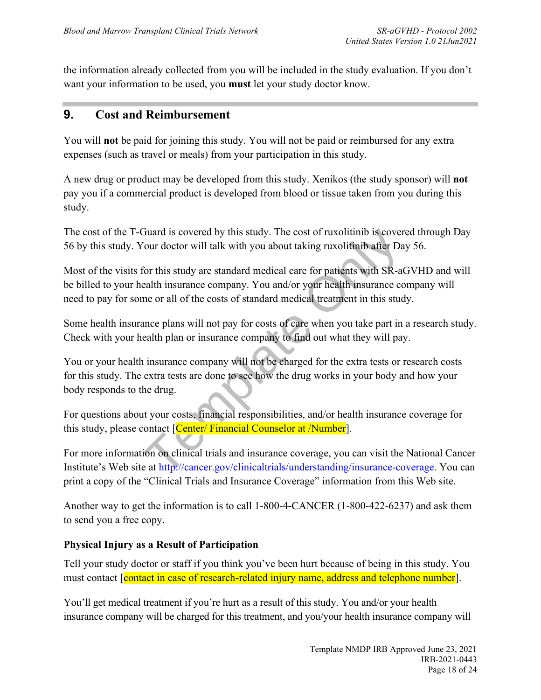the information already collected from you will be included in the study evaluation. If you don't want your information to be used, you **must** let your study doctor know.

## **9. Cost and Reimbursement**

You will **not** be paid for joining this study. You will not be paid or reimbursed for any extra expenses (such as travel or meals) from your participation in this study.

A new drug or product may be developed from this study. Xenikos (the study sponsor) will **not** pay you if a commercial product is developed from blood or tissue taken from you during this study.

The cost of the T-Guard is covered by this study. The cost of ruxolitinib is covered through Day 56 by this study. Your doctor will talk with you about taking ruxolitinib after Day 56.

Guard is covered by this study. [T](http://cancer.gov/clinicaltrials/understanding/insurance-coverage)he cost of ruxolitinib is cover<br>
four doctor will talk with you about taking ruxolitinib after Da<br>
for this study are standard medical care for patients with SR-at<br>
each insurance company. Most of the visits for this study are standard medical care for patients with SR-aGVHD and will be billed to your health insurance company. You and/or your health insurance company will need to pay for some or all of the costs of standard medical treatment in this study.

Some health insurance plans will not pay for costs of care when you take part in a research study. Check with your health plan or insurance company to find out what they will pay.

You or your health insurance company will not be charged for the extra tests or research costs for this study. The extra tests are done to see how the drug works in your body and how your body responds to the drug.

For questions about your costs, financial responsibilities, and/or health insurance coverage for this study, please contact [Center/ Financial Counselor at /Number].

For more information on clinical trials and insurance coverage, you can visit the National Cancer Institute's Web site at http://cancer.gov/clinicaltrials/understanding/insurance-coverage. You can print a copy of the "Clinical Trials and Insurance Coverage" information from this Web site.

Another way to get the information is to call 1-800-4**-**CANCER (1-800-422-6237) and ask them to send you a free copy.

### **Physical Injury as a Result of Participation**

Tell your study doctor or staff if you think you've been hurt because of being in this study. You must contact [contact in case of research-related injury name, address and telephone number].

You'll get medical treatment if you're hurt as a result of this study. You and/or your health insurance company will be charged for this treatment, and you/your health insurance company will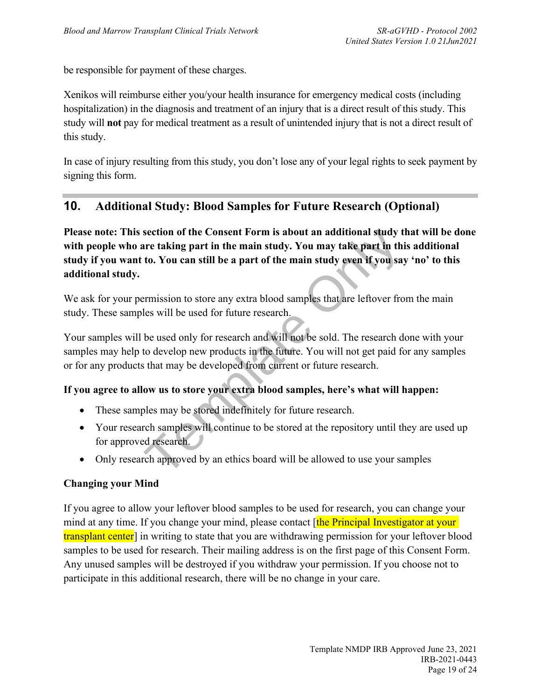be responsible for payment of these charges.

Xenikos will reimburse either you/your health insurance for emergency medical costs (including hospitalization) in the diagnosis and treatment of an injury that is a direct result of this study. This study will **not** pay for medical treatment as a result of unintended injury that is not a direct result of this study.

In case of injury resulting from this study, you don't lose any of your legal rights to seek payment by signing this form.

## **10. Additional Study: Blood Samples for Future Research (Optional)**

section of the Consent Form is about an additional study t<br>are taking part in the main study. You may take part in thi<br>to. You can still be a part of the main study even if you say<br>ermission to store any extra blood sample **Please note: This section of the Consent Form is about an additional study that will be done with people who are taking part in the main study. You may take part in this additional study if you want to. You can still be a part of the main study even if you say 'no' to this additional study.**

We ask for your permission to store any extra blood samples that are leftover from the main study. These samples will be used for future research.

Your samples will be used only for research and will not be sold. The research done with your samples may help to develop new products in the future. You will not get paid for any samples or for any products that may be developed from current or future research.

#### **If you agree to allow us to store your extra blood samples, here's what will happen:**

- These samples may be stored indefinitely for future research.
- Your research samples will continue to be stored at the repository until they are used up for approved research.
- Only research approved by an ethics board will be allowed to use your samples

#### **Changing your Mind**

If you agree to allow your leftover blood samples to be used for research, you can change your mind at any time. If you change your mind, please contact *[the Principal Investigator at your*] transplant center] in writing to state that you are withdrawing permission for your leftover blood samples to be used for research. Their mailing address is on the first page of this Consent Form. Any unused samples will be destroyed if you withdraw your permission. If you choose not to participate in this additional research, there will be no change in your care.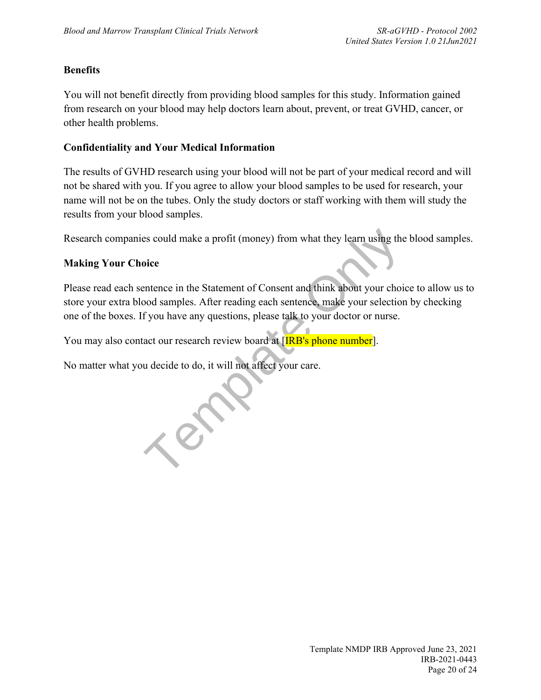#### **Benefits**

You will not benefit directly from providing blood samples for this study. Information gained from research on your blood may help doctors learn about, prevent, or treat GVHD, cancer, or other health problems.

#### **Confidentiality and Your Medical Information**

The results of GVHD research using your blood will not be part of your medical record and will not be shared with you. If you agree to allow your blood samples to be used for research, your name will not be on the tubes. Only the study doctors or staff working with them will study the results from your blood samples.

Research companies could make a profit (money) from what they learn using the blood samples.

#### **Making Your Choice**

the set could make a profit (money) from what they learn using the<br>oice<br>oice<br>entence in the Statement of Consent and think about your choic<br>ood samples. After reading each sentence, make your selectior<br>f you have any quest Please read each sentence in the Statement of Consent and think about your choice to allow us to store your extra blood samples. After reading each sentence, make your selection by checking one of the boxes. If you have any questions, please talk to your doctor or nurse.

You may also contact our research review board at [IRB's phone number].

No matter what you decide to do, it will not affect your care.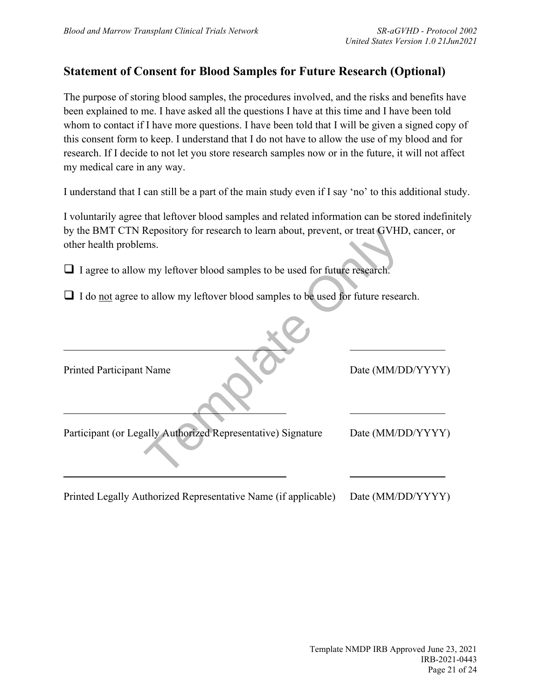## **Statement of Consent for Blood Samples for Future Research (Optional)**

The purpose of storing blood samples, the procedures involved, and the risks and benefits have been explained to me. I have asked all the questions I have at this time and I have been told whom to contact if I have more questions. I have been told that I will be given a signed copy of this consent form to keep. I understand that I do not have to allow the use of my blood and for research. If I decide to not let you store research samples now or in the future, it will not affect my medical care in any way.

I understand that I can still be a part of the main study even if I say 'no' to this additional study.

I voluntarily agree that leftover blood samples and related information can be stored indefinitely by the BMT CTN Repository for research to learn about, prevent, or treat GVHD, cancer, or other health problems.

| by the BMT CTN Repository for research to learn about, prevent, or treat GVHD, cancer, or<br>other health problems. |                   |
|---------------------------------------------------------------------------------------------------------------------|-------------------|
| I agree to allow my leftover blood samples to be used for future research.                                          |                   |
| $\Box$ I do <u>not</u> agree to allow my leftover blood samples to be used for future research.                     |                   |
|                                                                                                                     |                   |
| <b>Printed Participant Name</b>                                                                                     | Date (MM/DD/YYYY) |
| Participant (or Legally Authorized Representative) Signature                                                        | Date (MM/DD/YYYY) |
|                                                                                                                     |                   |

Printed Legally Authorized Representative Name (if applicable) Date (MM/DD/YYYY)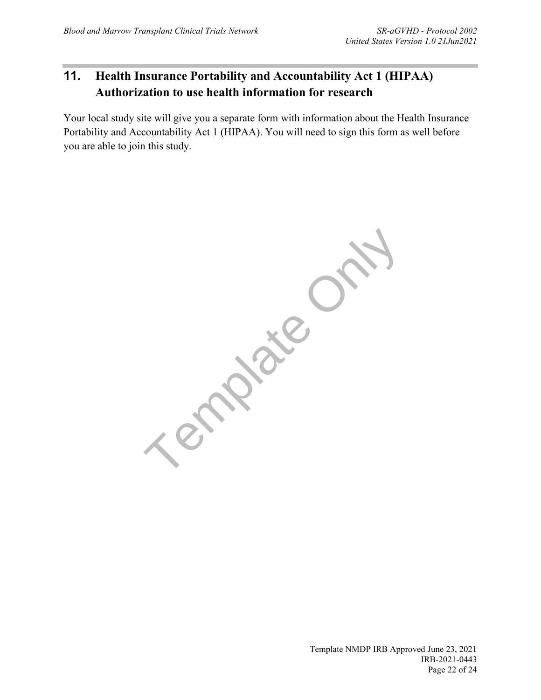# **11. Health Insurance Portability and Accountability Act 1 (HIPAA) Authorization to use health information for research**

Your local study site will give you a separate form with information about the Health Insurance Portability and Accountability Act 1 (HIPAA). You will need to sign this form as well before you are able to join this study.

**Template Only**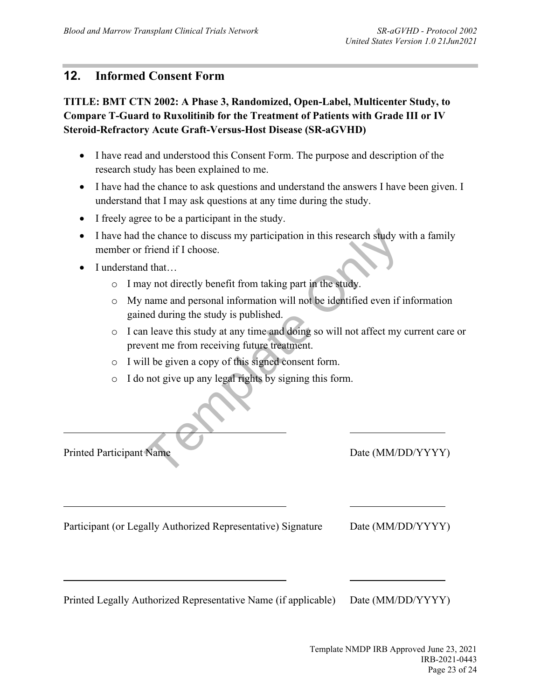## **12. Informed Consent Form**

## **TITLE: BMT CTN 2002: A Phase 3, Randomized, Open-Label, Multicenter Study, to Compare T-Guard to Ruxolitinib for the Treatment of Patients with Grade III or IV Steroid-Refractory Acute Graft-Versus-Host Disease (SR-aGVHD)**

- I have read and understood this Consent Form. The purpose and description of the research study has been explained to me.
- I have had the chance to ask questions and understand the answers I have been given. I understand that I may ask questions at any time during the study.
- I freely agree to be a participant in the study.
- I have had the chance to discuss my participation in this research study with a family member or friend if I choose.
- I understand that...
	- o I may not directly benefit from taking part in the study.
	- o My name and personal information will not be identified even if information gained during the study is published.
	- o I can leave this study at any time and doing so will not affect my current care or prevent me from receiving future treatment.
	- o I will be given a copy of this signed consent form.
	- o I do not give up any legal rights by signing this form.

|                                            | I have had the chance to discuss my participation in this research study with a family<br>member or friend if I choose.        |                   |
|--------------------------------------------|--------------------------------------------------------------------------------------------------------------------------------|-------------------|
|                                            | I understand that                                                                                                              |                   |
| $\circ$                                    | I may not directly benefit from taking part in the study.                                                                      |                   |
| O                                          | My name and personal information will not be identified even if information<br>gained during the study is published.           |                   |
| O                                          | I can leave this study at any time and doing so will not affect my current care<br>prevent me from receiving future treatment. |                   |
| $\circ$                                    | I will be given a copy of this signed consent form.                                                                            |                   |
| $\circ$<br><b>Printed Participant Name</b> | I do not give up any legal rights by signing this form.                                                                        | Date (MM/DD/YYYY) |
|                                            | Participant (or Legally Authorized Representative) Signature                                                                   | Date (MM/DD/YYYY) |

Printed Legally Authorized Representative Name (if applicable) Date (MM/DD/YYYY)